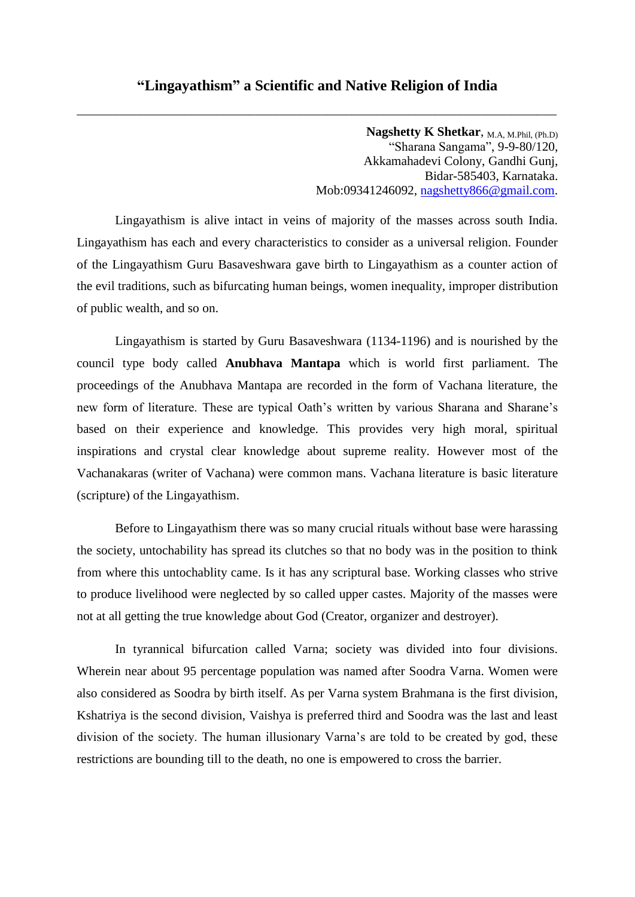\_\_\_\_\_\_\_\_\_\_\_\_\_\_\_\_\_\_\_\_\_\_\_\_\_\_\_\_\_\_\_\_\_\_\_\_\_\_\_\_\_\_\_\_\_\_\_\_\_\_\_\_\_\_\_\_\_\_\_\_\_\_\_\_\_\_\_\_\_\_\_\_\_\_\_

**Nagshetty K Shetkar**, M.A, M.Phil, (Ph.D) "Sharana Sangama", 9-9-80/120, Akkamahadevi Colony, Gandhi Gunj, Bidar-585403, Karnataka. Mob:09341246092, [nagshetty866@gmail.com.](mailto:nagshetty866@gmail.com)

Lingayathism is alive intact in veins of majority of the masses across south India. Lingayathism has each and every characteristics to consider as a universal religion. Founder of the Lingayathism Guru Basaveshwara gave birth to Lingayathism as a counter action of the evil traditions, such as bifurcating human beings, women inequality, improper distribution of public wealth, and so on.

Lingayathism is started by Guru Basaveshwara (1134-1196) and is nourished by the council type body called **Anubhava Mantapa** which is world first parliament. The proceedings of the Anubhava Mantapa are recorded in the form of Vachana literature, the new form of literature. These are typical Oath's written by various Sharana and Sharane's based on their experience and knowledge. This provides very high moral, spiritual inspirations and crystal clear knowledge about supreme reality. However most of the Vachanakaras (writer of Vachana) were common mans. Vachana literature is basic literature (scripture) of the Lingayathism.

Before to Lingayathism there was so many crucial rituals without base were harassing the society, untochability has spread its clutches so that no body was in the position to think from where this untochablity came. Is it has any scriptural base. Working classes who strive to produce livelihood were neglected by so called upper castes. Majority of the masses were not at all getting the true knowledge about God (Creator, organizer and destroyer).

In tyrannical bifurcation called Varna; society was divided into four divisions. Wherein near about 95 percentage population was named after Soodra Varna. Women were also considered as Soodra by birth itself. As per Varna system Brahmana is the first division, Kshatriya is the second division, Vaishya is preferred third and Soodra was the last and least division of the society. The human illusionary Varna's are told to be created by god, these restrictions are bounding till to the death, no one is empowered to cross the barrier.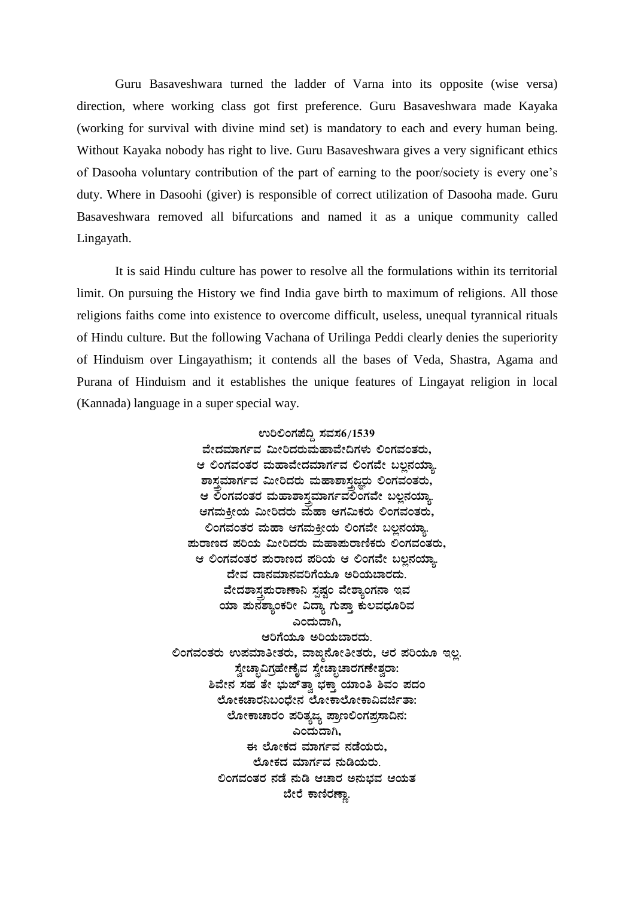Guru Basaveshwara turned the ladder of Varna into its opposite (wise versa) direction, where working class got first preference. Guru Basaveshwara made Kayaka (working for survival with divine mind set) is mandatory to each and every human being. Without Kayaka nobody has right to live. Guru Basaveshwara gives a very significant ethics of Dasooha voluntary contribution of the part of earning to the poor/society is every one's duty. Where in Dasoohi (giver) is responsible of correct utilization of Dasooha made. Guru Basaveshwara removed all bifurcations and named it as a unique community called Lingayath.

It is said Hindu culture has power to resolve all the formulations within its territorial limit. On pursuing the History we find India gave birth to maximum of religions. All those religions faiths come into existence to overcome difficult, useless, unequal tyrannical rituals of Hindu culture. But the following Vachana of Urilinga Peddi clearly denies the superiority of Hinduism over Lingayathism; it contends all the bases of Veda, Shastra, Agama and Purana of Hinduism and it establishes the unique features of Lingayat religion in local (Kannada) language in a super special way.

> ಉರಿಲಿಂಗಪೆದ್ದಿ ಸವಸ**6/153**9 ವೇದಮಾರ್ಗವ ಮೀರಿದರುಮಹಾವೇದಿಗಳು ಲಿಂಗವಂತರು, ಆ ಲಿಂಗವಂತರ ಮಹಾವೇದಮಾರ್ಗವ ಲಿಂಗವೇ ಬಲ್ಪನಯ್<mark>ಞಾ</mark> ಶಾಸ್ತಮಾರ್ಗವ ಮೀರಿದರು ಮಹಾಶಾಸ್ತಜ್ಞರು ಲಿಂಗವಂತರು**,** ಆ ಲಂಗವಂತರ ಮಹಾಶಾಸ್ತಮಾರ್ಗವಲಿಂಗವೇ ಬಲ್ಲನಯ್<mark>ಞಾ</mark> ಆಗಮಕೀಯ ಮೀರಿದರು ಮಹಾ ಆಗಮಿಕರು ಲಿಂಗವಂತರು, ಲಿಂಗವಂತರ ಮಹಾ ಆಗಮಕ್<u>ತ</u>ೀಯ ಲಿಂಗವೇ ಬಲ್ಲನಯ್ಞಾ **¥ÀÄgÁtzÀ ¥ÀjAiÀÄ «ÄÃjzÀgÀÄ ªÀĺÁ¥ÀÄgÁtÂPÀgÀÄ °AUÀªÀAvÀgÀÄ,** ಆ ಲಿಂಗವಂತರ **ಪುರಾಣದ ಪರಿಯ ಆ ಲಿಂಗವೇ ಬಲ್ಪನ**ಯ್ಲಾ ದೇವ ದಾನಮಾನವರಿಗೆಯೂ ಅರಿಯಬಾರದು<u>.</u> ವೇದಶಾಸ್ತ್ರಮರಾಣಾನಿ ಸ್ಪಷ್ಟಂ ವೇಶ್ಯಾಂಗನಾ **ಇ**ವ ಯಾ **ಪುನಶ್ಯಾಂಕರೀ ವಿದ್ಯಾ ಗುಪ್ತಾ ಕುಲವಧೂರಿ**ವ **JAzÀÄzÁV,** ಆರಿಗೆಯೂ ಅರಿಯಬಾರದು. ಲಿಂಗವಂತರು ಉಪಮಾತೀತರು, ವಾ**ಜ್ಗಿನೋತೀತರು, ಆರ ಪರಿಯೂ ಇಲ್ಲ** ಸ್ನೇಚ್ಛಾವಿಗ್ರಹೇಣೈವ ಸ್ನೇಚ್ಛಾಚಾರಗಣೇಶ್ವರಾ: <u>ಶಿವೇನ ಸಹ ತೇ ಭುಜ್**ತಾ ಭಕ್ತಾ ಯಾಂತಿ ಶಿವಂ ಪದಂ**</u> ಲೋಕಚಾರನಿಬಂದೇನ ಲೋಕಾಲೋಕಾವಿವರ್ಜಿತಾ: ಲೋಕಾಚಾರಂ ಪರಿತ್ಯಜ್ಯ ಪ್ರಾಣಲಿಂಗಪ್ರಸಾದಿನ: ಎಂದುದಾಗಿ. ಈ ಲೋಕದ ಮಾರ್ಗವ ನಡೆಯರು<u>.</u> ಲೋಕದ ಮಾರ್ಗವ **ನುಡಿಯರು**. ಲಿಂಗವಂತರ ನಡೆ ನುಡಿ ಆಚಾರ ಅನುಭವ ಆಯತ ಬೇರೆ ಕಾಣಿರಣ್<u>ಣಾ</u>.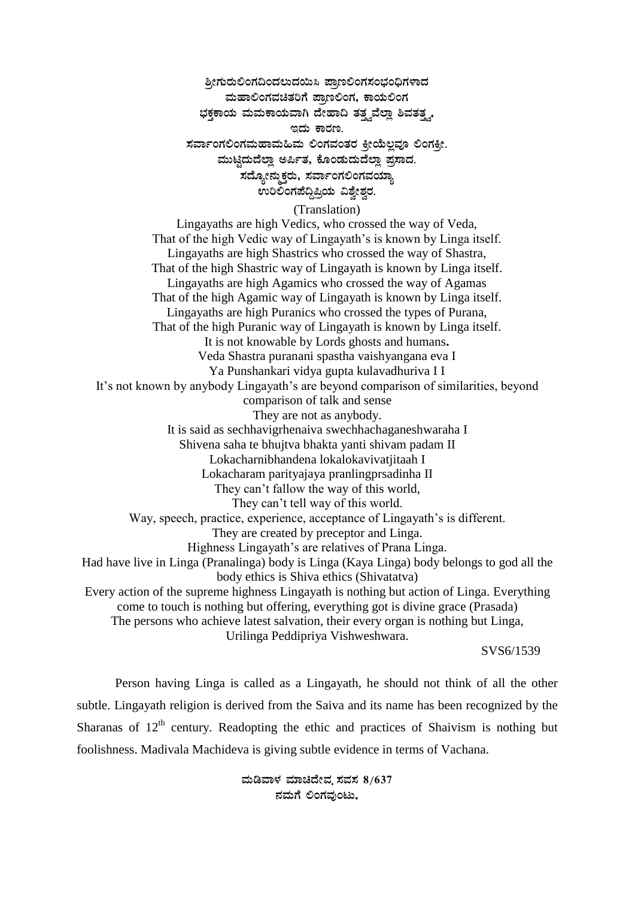# ಶ್ರೀಗುರುಲಿಂಗದಿಂದಲುದಯಿಸಿ ಪಾಣಲಿಂಗಸಂಭಂಧಿಗಳಾದ **ªÀĺÁ°AUÀªÀavÀjUÉ ¥Áæt°AUÀ, PÁAiÀİAUÀ**  $i$ ಕಕಾಯ ಮಮಕಾಯವಾಗಿ ದೇಹಾದಿ ತತ್ತವೆಲ್ಲಾ ಶಿವತತ್ನ, **EzÀÄ PÁgÀt.** ಸರ್ವಾಂಗಲಿಂಗಮಹಾಮಹಿಮ ಲಿಂಗವಂತರ ಕ್<u>ಷೀ</u>ಯೆಲ್ಲವೂ ಲಿಂಗಕ್ಕೀ. ಮುಟ್ಟಿದುದೆಲ್ಲಾ ಅರ್ಪಿತ, ಕೊಂಡುದುದೆಲ್ಲಾ ಪ್ರಸಾದ. ಸದ್ಯೋನ್ಮುಕ್ತರು, ಸರ್ವಾಂಗಲಿಂಗವಯ್ಯ<u>ಾ</u> ಉರಿಲಿಂಗಪೆದ್ದಿಪ್ರಿಯ ವಿಶ್ವೇಶ್ವರ.

### (Translation)

Lingayaths are high Vedics, who crossed the way of Veda, That of the high Vedic way of Lingayath's is known by Linga itself. Lingayaths are high Shastrics who crossed the way of Shastra, That of the high Shastric way of Lingayath is known by Linga itself. Lingayaths are high Agamics who crossed the way of Agamas That of the high Agamic way of Lingayath is known by Linga itself. Lingayaths are high Puranics who crossed the types of Purana, That of the high Puranic way of Lingayath is known by Linga itself. It is not knowable by Lords ghosts and humans**.** Veda Shastra puranani spastha vaishyangana eva I Ya Punshankari vidya gupta kulavadhuriva I I It's not known by anybody Lingayath's are beyond comparison of similarities, beyond comparison of talk and sense They are not as anybody. It is said as sechhavigrhenaiva swechhachaganeshwaraha I Shivena saha te bhujtva bhakta yanti shivam padam II Lokacharnibhandena lokalokavivatjitaah I Lokacharam parityajaya pranlingprsadinha II They can't fallow the way of this world, They can't tell way of this world. Way, speech, practice, experience, acceptance of Lingayath's is different. They are created by preceptor and Linga. Highness Lingayath's are relatives of Prana Linga. Had have live in Linga (Pranalinga) body is Linga (Kaya Linga) body belongs to god all the body ethics is Shiva ethics (Shivatatva) Every action of the supreme highness Lingayath is nothing but action of Linga. Everything come to touch is nothing but offering, everything got is divine grace (Prasada) The persons who achieve latest salvation, their every organ is nothing but Linga, Urilinga Peddipriya Vishweshwara.

SVS6/1539

Person having Linga is called as a Lingayath, he should not think of all the other subtle. Lingayath religion is derived from the Saiva and its name has been recognized by the Sharanas of  $12<sup>th</sup>$  century. Readopting the ethic and practices of Shaivism is nothing but foolishness. Madivala Machideva is giving subtle evidence in terms of Vachana.

> ಮಡಿವಾಳ ಮಾಚಿದೇವ್ನ ಸವಸ 8/637  $k$ ಮಗೆ ಲಿಂಗವುಂಟು,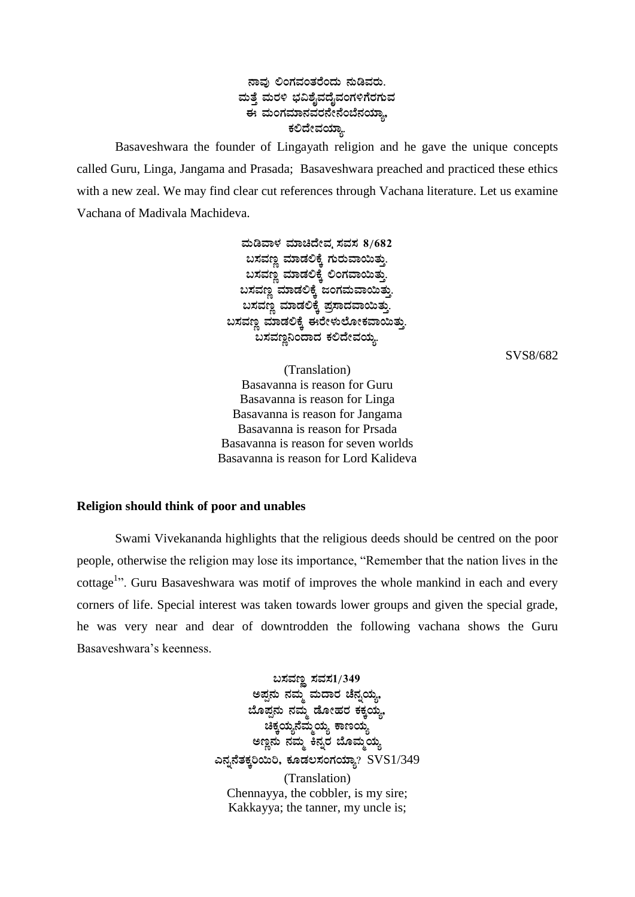## $a$ ಹವು ಲಿಂಗವಂತರೆಂದು ನುಡಿವರು. ಮತ್ತೆ ಮರಳಿ ಭವಿಶೈವದೈವಂಗಳಿಗೆರಗುವ <u>ಈ ಮಂಗಮಾನವರನೇನೆಂಬೆನಯಾ..</u> ಕಲಿದೇವಯ್<mark>ಞಾ</mark>

Basaveshwara the founder of Lingayath religion and he gave the unique concepts called Guru, Linga, Jangama and Prasada; Basaveshwara preached and practiced these ethics with a new zeal. We may find clear cut references through Vachana literature. Let us examine Vachana of Madivala Machideva.

> ಮಡಿವಾಳ ಮಾಚಿದೇವ ಸವಸ 8/682  $a$ ಸವಣ್ಣ ಮಾಡಲಿಕ್ಕೆ ಗುರುವಾಯಿತ್ತು.  $a$ ಸವಣ್ಣ ಮಾಡಲಿಕ್ಕೆ ಲಿಂಗವಾಯಿತ್ತು.  $a$ ಸವಣ್ಣ ಮಾಡಲಿಕ್ಕೆ ಜಂಗಮವಾಯಿತ್ತು <u>ಬಸವಣ್ಣ</u> ಮಾಡಲಿಕ್ಕೆ ಪ್ರಸಾದವಾಯಿತ್ತು.  $a$ ಸವಣ್ಣ ಮಾಡಲಿಕ್ಕೆ ಈರೇಳುಲೋಕವಾಯಿತ್ತು.  $a$ ಸವಣ್ಣನಿಂದಾದ ಕಲಿದೇವಯ್ಯ.

> > SVS8/682

(Translation) Basavanna is reason for Guru Basavanna is reason for Linga Basavanna is reason for Jangama Basavanna is reason for Prsada Basavanna is reason for seven worlds Basavanna is reason for Lord Kalideva

### **Religion should think of poor and unables**

Swami Vivekananda highlights that the religious deeds should be centred on the poor people, otherwise the religion may lose its importance, "Remember that the nation lives in the cottage<sup>1</sup>". Guru Basaveshwara was motif of improves the whole mankind in each and every corners of life. Special interest was taken towards lower groups and given the special grade, he was very near and dear of downtrodden the following vachana shows the Guru Basaveshwara's keenness.

> $\boldsymbol{\mathsf{u}}$ ಸವಣ್ಣ ಸವಸ $1/349$ ಅಪ್ಪನು ನಮ್ಮ ಮದಾರ ಚೆನ್ನಯ್<u>ಞ</u>, <u>ಬೊಪ್ಪ</u>ನು ನಮ್ಮ ಡೋಹರ ಕಕ್ಕಯ್ಯ,  $\mathbf{a}_{\mathbf{\tilde{i}}}$ ಹೆಕ್ಕಯ್ಯ ಹಣಯ್ಯ ಅಣ್ಣನು ನಮ್ಮ ಕನ್ನರ ಬೊಮ್ಮಯ್ಯ **J£ÀߣÉvÀPÀÌj¬Äj, PÀÆqÀ®¸ÀAUÀAiÀiÁå?** SVS1/349 (Translation) Chennayya, the cobbler, is my sire; Kakkayya; the tanner, my uncle is;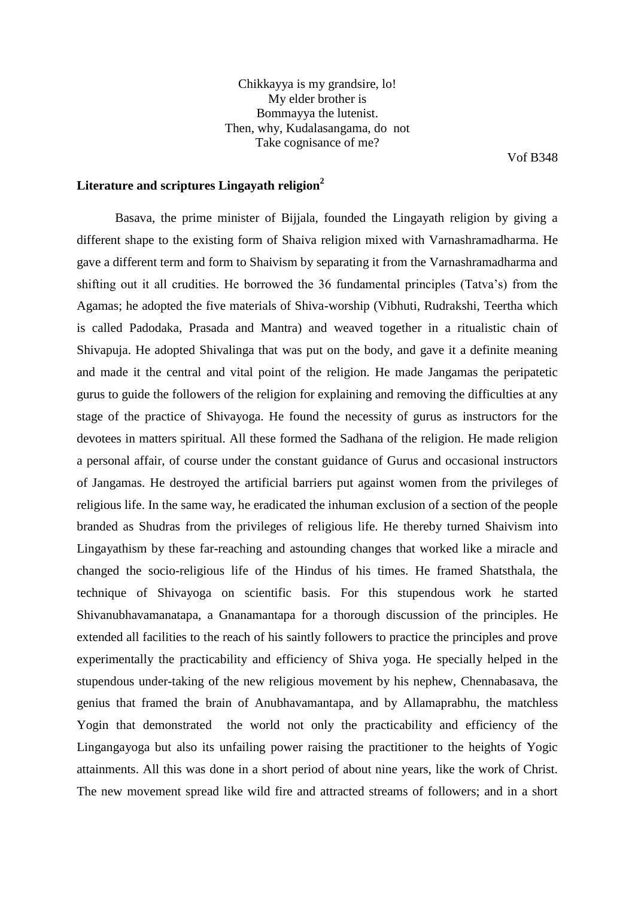Chikkayya is my grandsire, lo! My elder brother is Bommayya the lutenist. Then, why, Kudalasangama, do not Take cognisance of me?

Vof B348

# **Literature and scriptures Lingayath religion<sup>2</sup>**

Basava, the prime minister of Bijjala, founded the Lingayath religion by giving a different shape to the existing form of Shaiva religion mixed with Varnashramadharma. He gave a different term and form to Shaivism by separating it from the Varnashramadharma and shifting out it all crudities. He borrowed the 36 fundamental principles (Tatva's) from the Agamas; he adopted the five materials of Shiva-worship (Vibhuti, Rudrakshi, Teertha which is called Padodaka, Prasada and Mantra) and weaved together in a ritualistic chain of Shivapuja. He adopted Shivalinga that was put on the body, and gave it a definite meaning and made it the central and vital point of the religion. He made Jangamas the peripatetic gurus to guide the followers of the religion for explaining and removing the difficulties at any stage of the practice of Shivayoga. He found the necessity of gurus as instructors for the devotees in matters spiritual. All these formed the Sadhana of the religion. He made religion a personal affair, of course under the constant guidance of Gurus and occasional instructors of Jangamas. He destroyed the artificial barriers put against women from the privileges of religious life. In the same way, he eradicated the inhuman exclusion of a section of the people branded as Shudras from the privileges of religious life. He thereby turned Shaivism into Lingayathism by these far-reaching and astounding changes that worked like a miracle and changed the socio-religious life of the Hindus of his times. He framed Shatsthala, the technique of Shivayoga on scientific basis. For this stupendous work he started Shivanubhavamanatapa, a Gnanamantapa for a thorough discussion of the principles. He extended all facilities to the reach of his saintly followers to practice the principles and prove experimentally the practicability and efficiency of Shiva yoga. He specially helped in the stupendous under-taking of the new religious movement by his nephew, Chennabasava, the genius that framed the brain of Anubhavamantapa, and by Allamaprabhu, the matchless Yogin that demonstrated the world not only the practicability and efficiency of the Lingangayoga but also its unfailing power raising the practitioner to the heights of Yogic attainments. All this was done in a short period of about nine years, like the work of Christ. The new movement spread like wild fire and attracted streams of followers; and in a short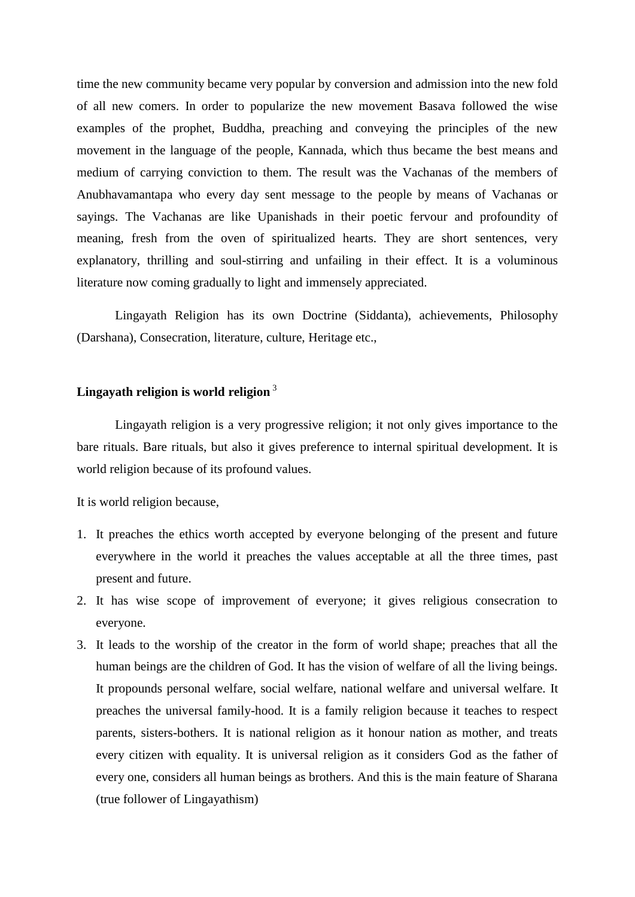time the new community became very popular by conversion and admission into the new fold of all new comers. In order to popularize the new movement Basava followed the wise examples of the prophet, Buddha, preaching and conveying the principles of the new movement in the language of the people, Kannada, which thus became the best means and medium of carrying conviction to them. The result was the Vachanas of the members of Anubhavamantapa who every day sent message to the people by means of Vachanas or sayings. The Vachanas are like Upanishads in their poetic fervour and profoundity of meaning, fresh from the oven of spiritualized hearts. They are short sentences, very explanatory, thrilling and soul-stirring and unfailing in their effect. It is a voluminous literature now coming gradually to light and immensely appreciated.

Lingayath Religion has its own Doctrine (Siddanta), achievements, Philosophy (Darshana), Consecration, literature, culture, Heritage etc.,

## **Lingayath religion is world religion** <sup>3</sup>

Lingayath religion is a very progressive religion; it not only gives importance to the bare rituals. Bare rituals, but also it gives preference to internal spiritual development. It is world religion because of its profound values.

It is world religion because,

- 1. It preaches the ethics worth accepted by everyone belonging of the present and future everywhere in the world it preaches the values acceptable at all the three times, past present and future.
- 2. It has wise scope of improvement of everyone; it gives religious consecration to everyone.
- 3. It leads to the worship of the creator in the form of world shape; preaches that all the human beings are the children of God. It has the vision of welfare of all the living beings. It propounds personal welfare, social welfare, national welfare and universal welfare. It preaches the universal family-hood. It is a family religion because it teaches to respect parents, sisters-bothers. It is national religion as it honour nation as mother, and treats every citizen with equality. It is universal religion as it considers God as the father of every one, considers all human beings as brothers. And this is the main feature of Sharana (true follower of Lingayathism)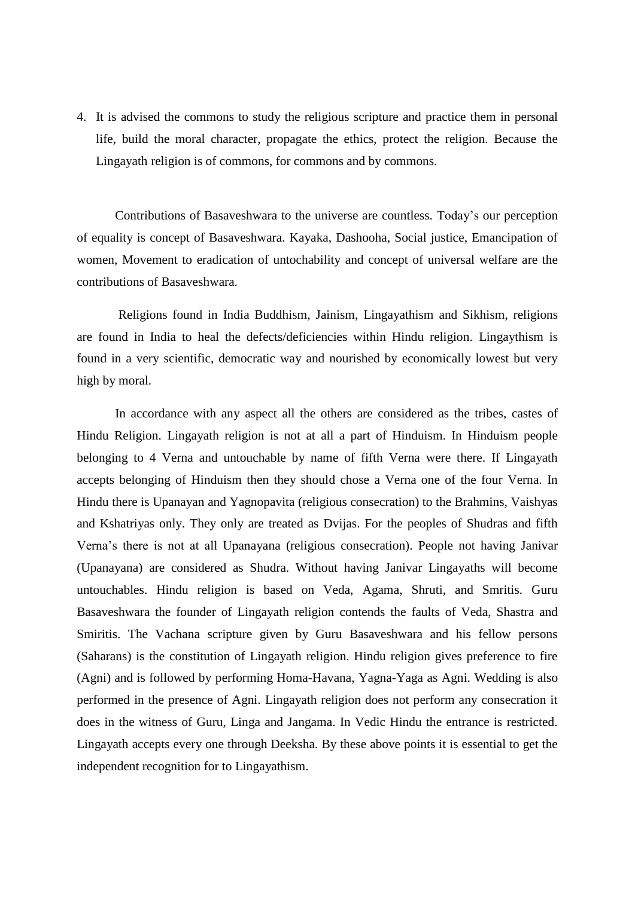4. It is advised the commons to study the religious scripture and practice them in personal life, build the moral character, propagate the ethics, protect the religion. Because the Lingayath religion is of commons, for commons and by commons.

Contributions of Basaveshwara to the universe are countless. Today's our perception of equality is concept of Basaveshwara. Kayaka, Dashooha, Social justice, Emancipation of women, Movement to eradication of untochability and concept of universal welfare are the contributions of Basaveshwara.

Religions found in India Buddhism, Jainism, Lingayathism and Sikhism, religions are found in India to heal the defects/deficiencies within Hindu religion. Lingaythism is found in a very scientific, democratic way and nourished by economically lowest but very high by moral.

In accordance with any aspect all the others are considered as the tribes, castes of Hindu Religion. Lingayath religion is not at all a part of Hinduism. In Hinduism people belonging to 4 Verna and untouchable by name of fifth Verna were there. If Lingayath accepts belonging of Hinduism then they should chose a Verna one of the four Verna. In Hindu there is Upanayan and Yagnopavita (religious consecration) to the Brahmins, Vaishyas and Kshatriyas only. They only are treated as Dvijas. For the peoples of Shudras and fifth Verna's there is not at all Upanayana (religious consecration). People not having Janivar (Upanayana) are considered as Shudra. Without having Janivar Lingayaths will become untouchables. Hindu religion is based on Veda, Agama, Shruti, and Smritis. Guru Basaveshwara the founder of Lingayath religion contends the faults of Veda, Shastra and Smiritis. The Vachana scripture given by Guru Basaveshwara and his fellow persons (Saharans) is the constitution of Lingayath religion. Hindu religion gives preference to fire (Agni) and is followed by performing Homa-Havana, Yagna-Yaga as Agni. Wedding is also performed in the presence of Agni. Lingayath religion does not perform any consecration it does in the witness of Guru, Linga and Jangama. In Vedic Hindu the entrance is restricted. Lingayath accepts every one through Deeksha. By these above points it is essential to get the independent recognition for to Lingayathism.